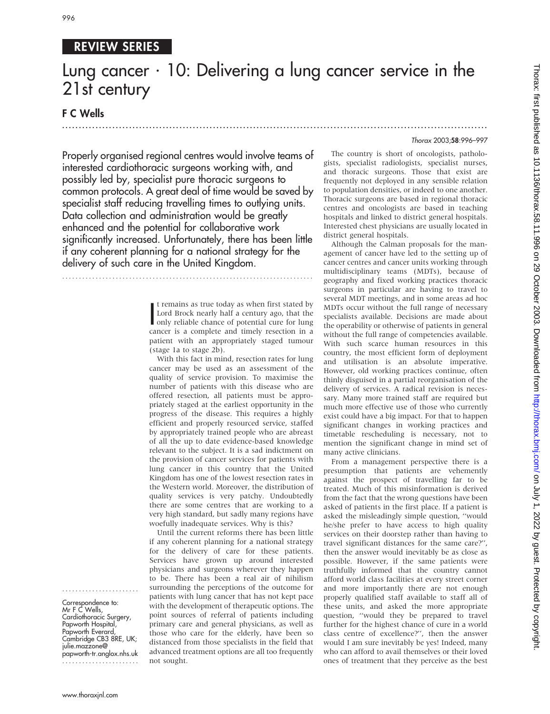## REVIEW SERIES

## Lung cancer  $\cdot$  10: Delivering a lung cancer service in the 21st century

.............................................................................................................................. .

## F C Wells

## Thorax 2003;58:996–997

Properly organised regional centres would involve teams of interested cardiothoracic surgeons working with, and possibly led by, specialist pure thoracic surgeons to common protocols. A great deal of time would be saved by specialist staff reducing travelling times to outlying units. Data collection and administration would be greatly enhanced and the potential for collaborative work significantly increased. Unfortunately, there has been little if any coherent planning for a national strategy for the delivery of such care in the United Kingdom.

...........................................................................

I temains as true today as when first stated by<br>Lord Brock nearly half a century ago, that the<br>only reliable chance of potential cure for lung<br>capcer is a complete and timely reception in a t remains as true today as when first stated by Lord Brock nearly half a century ago, that the cancer is a complete and timely resection in a patient with an appropriately staged tumour (stage 1a to stage 2b).

With this fact in mind, resection rates for lung cancer may be used as an assessment of the quality of service provision. To maximise the number of patients with this disease who are offered resection, all patients must be appropriately staged at the earliest opportunity in the progress of the disease. This requires a highly efficient and properly resourced service, staffed by appropriately trained people who are abreast of all the up to date evidence-based knowledge relevant to the subject. It is a sad indictment on the provision of cancer services for patients with lung cancer in this country that the United Kingdom has one of the lowest resection rates in the Western world. Moreover, the distribution of quality services is very patchy. Undoubtedly there are some centres that are working to a very high standard, but sadly many regions have woefully inadequate services. Why is this?

Until the current reforms there has been little if any coherent planning for a national strategy for the delivery of care for these patients. Services have grown up around interested physicians and surgeons wherever they happen to be. There has been a real air of nihilism surrounding the perceptions of the outcome for patients with lung cancer that has not kept pace with the development of therapeutic options. The point sources of referral of patients including primary care and general physicians, as well as those who care for the elderly, have been so distanced from those specialists in the field that advanced treatment options are all too frequently not sought.

The country is short of oncologists, pathologists, specialist radiologists, specialist nurses, and thoracic surgeons. Those that exist are frequently not deployed in any sensible relation to population densities, or indeed to one another. Thoracic surgeons are based in regional thoracic centres and oncologists are based in teaching hospitals and linked to district general hospitals. Interested chest physicians are usually located in district general hospitals.

Although the Calman proposals for the management of cancer have led to the setting up of cancer centres and cancer units working through multidisciplinary teams (MDTs), because of geography and fixed working practices thoracic surgeons in particular are having to travel to several MDT meetings, and in some areas ad hoc MDTs occur without the full range of necessary specialists available. Decisions are made about the operability or otherwise of patients in general without the full range of competencies available. With such scarce human resources in this country, the most efficient form of deployment and utilisation is an absolute imperative. However, old working practices continue, often thinly disguised in a partial reorganisation of the delivery of services. A radical revision is necessary. Many more trained staff are required but much more effective use of those who currently exist could have a big impact. For that to happen significant changes in working practices and timetable rescheduling is necessary, not to mention the significant change in mind set of many active clinicians.

From a management perspective there is a presumption that patients are vehemently against the prospect of travelling far to be treated. Much of this misinformation is derived from the fact that the wrong questions have been asked of patients in the first place. If a patient is asked the misleadingly simple question, ''would he/she prefer to have access to high quality services on their doorstep rather than having to travel significant distances for the same care?'', then the answer would inevitably be as close as possible. However, if the same patients were truthfully informed that the country cannot afford world class facilities at every street corner and more importantly there are not enough properly qualified staff available to staff all of these units, and asked the more appropriate question, ''would they be prepared to travel further for the highest chance of cure in a world class centre of excellence?'', then the answer would I am sure inevitably be yes! Indeed, many who can afford to avail themselves or their loved ones of treatment that they perceive as the best

Correspondence to: Mr F C Wells, Cardiothoracic Surgery, Papworth Hospital, Papworth Everard, Cambridge CB3 8RE, UK; julie.mazzone@ papworth-tr.anglox.nhs.uk .......................

.......................